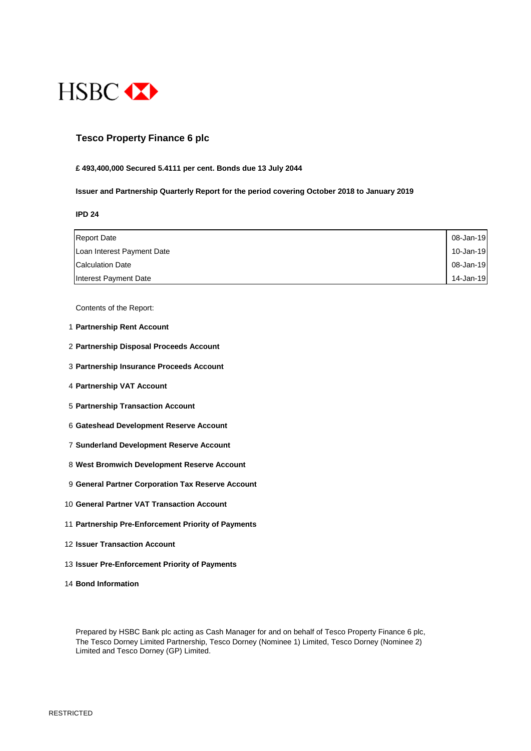

## **Tesco Property Finance 6 plc**

#### **£ 493,400,000 Secured 5.4111 per cent. Bonds due 13 July 2044**

#### **Issuer and Partnership Quarterly Report for the period covering October 2018 to January 2019**

**IPD 24**

| <b>Report Date</b>         | 08-Jan-19 |
|----------------------------|-----------|
| Loan Interest Payment Date | 10-Jan-19 |
| <b>Calculation Date</b>    | 08-Jan-19 |
| Interest Payment Date      | 14-Jan-19 |

Contents of the Report:

- 1 **Partnership Rent Account**
- 2 **Partnership Disposal Proceeds Account**
- 3 **Partnership Insurance Proceeds Account**
- 4 **Partnership VAT Account**
- 5 **Partnership Transaction Account**
- 6 **Gateshead Development Reserve Account**
- 7 **Sunderland Development Reserve Account**
- 8 **West Bromwich Development Reserve Account**
- 9 **General Partner Corporation Tax Reserve Account**
- 10 **General Partner VAT Transaction Account**
- 11 **Partnership Pre-Enforcement Priority of Payments**
- 12 **Issuer Transaction Account**
- 13 **Issuer Pre-Enforcement Priority of Payments**
- 14 **Bond Information**

Prepared by HSBC Bank plc acting as Cash Manager for and on behalf of Tesco Property Finance 6 plc, The Tesco Dorney Limited Partnership, Tesco Dorney (Nominee 1) Limited, Tesco Dorney (Nominee 2) Limited and Tesco Dorney (GP) Limited.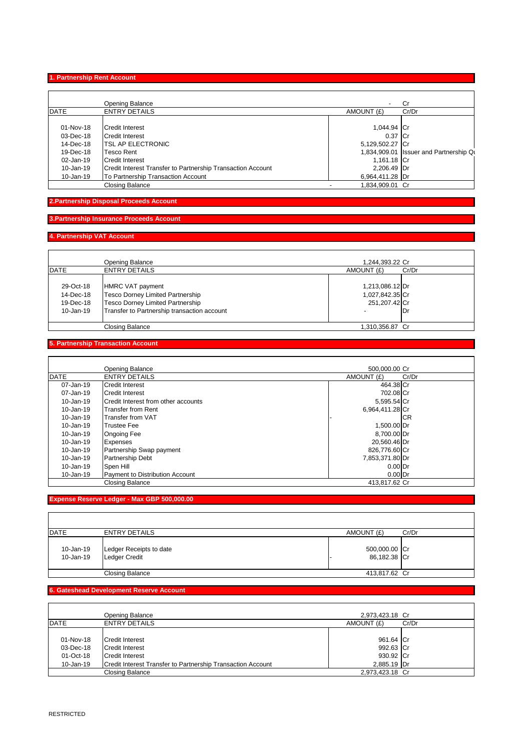#### **1. Partnership Rent Account**

|             | <b>Opening Balance</b>                                      | $\sim$          | Cr                                     |
|-------------|-------------------------------------------------------------|-----------------|----------------------------------------|
| <b>DATE</b> | <b>ENTRY DETAILS</b>                                        | AMOUNT (£)      | Cr/Dr                                  |
|             |                                                             |                 |                                        |
| 01-Nov-18   | <b>Credit Interest</b>                                      | 1,044.94 Cr     |                                        |
| 03-Dec-18   | Credit Interest                                             | 0.37 Cr         |                                        |
| 14-Dec-18   | <b>ITSL AP ELECTRONIC</b>                                   | 5,129,502.27 Cr |                                        |
| 19-Dec-18   | <b>Tesco Rent</b>                                           |                 | 1,834,909.01 Issuer and Partnership Qu |
| 02-Jan-19   | Credit Interest                                             | 1,161.18 Cr     |                                        |
| 10-Jan-19   | Credit Interest Transfer to Partnership Transaction Account | 2,206.49 Dr     |                                        |
| 10-Jan-19   | To Partnership Transaction Account                          | 6,964,411.28 Dr |                                        |
|             | Closing Balance                                             | 1,834,909.01 Cr |                                        |

## **2.Partnership Disposal Proceeds Account**

## **3.Partnership Insurance Proceeds Account**

## **4. Partnership VAT Account**

|                                                  | Opening Balance                                                                                                                         | 1,244,393.22 Cr                                       |       |
|--------------------------------------------------|-----------------------------------------------------------------------------------------------------------------------------------------|-------------------------------------------------------|-------|
| DATE                                             | <b>ENTRY DETAILS</b>                                                                                                                    | AMOUNT (£)                                            | Cr/Dr |
| 29-Oct-18<br>14-Dec-18<br>19-Dec-18<br>10-Jan-19 | HMRC VAT payment<br>Tesco Dorney Limited Partnership<br>Tesco Dorney Limited Partnership<br>Transfer to Partnership transaction account | 1,213,086.12 Dr<br>1,027,842.35 Cr<br>251, 207. 42 Cr | Dr    |
|                                                  | <b>Closing Balance</b>                                                                                                                  | 1.310.356.87 Cr                                       |       |

# **5. Partnership Transaction Account**

|               | Opening Balance                     | 500,000.00 Cr       |
|---------------|-------------------------------------|---------------------|
| DATE          | <b>ENTRY DETAILS</b>                | AMOUNT (£)<br>Cr/Dr |
| 07-Jan-19     | <b>Credit Interest</b>              | 464.38 Cr           |
| 07-Jan-19     | Credit Interest                     | 702.08 Cr           |
| 10-Jan-19     | Credit Interest from other accounts | 5,595.54 Cr         |
| 10-Jan-19     | Transfer from Rent                  | 6,964,411.28 Cr     |
| $10 - Jan-19$ | Transfer from VAT                   | <b>CR</b>           |
| 10-Jan-19     | <b>Trustee Fee</b>                  | 1,500.00 Dr         |
| 10-Jan-19     | <b>Ongoing Fee</b>                  | 8,700.00 Dr         |
| 10-Jan-19     | <b>Expenses</b>                     | 20.560.46 Dr        |
| $10 - Jan-19$ | Partnership Swap payment            | 826,776.60 Cr       |
| 10-Jan-19     | <b>Partnership Debt</b>             | 7,853,371.80 Dr     |
| 10-Jan-19     | Spen Hill                           | $0.00$ Dr           |
| 10-Jan-19     | Payment to Distribution Account     | $0.00$ Dr           |
|               | <b>Closing Balance</b>              | 413.817.62 Cr       |

## **Expense Reserve Ledger - Max GBP 500,000.00**

| DATE                   | ENTRY DETAILS                                   | AMOUNT (£)                    | Cr/Dr |
|------------------------|-------------------------------------------------|-------------------------------|-------|
| 10-Jan-19<br>10-Jan-19 | Ledger Receipts to date<br><b>Ledger Credit</b> | 500,000.00 Cr<br>86,182.38 Cr |       |
|                        | <b>Closing Balance</b>                          | 413,817.62 Cr                 |       |

#### **6. Gateshead Development Reserve Account**

|                                                  | <b>Opening Balance</b>                                                                                                      | 2.973.423.18 Cr                                    |       |
|--------------------------------------------------|-----------------------------------------------------------------------------------------------------------------------------|----------------------------------------------------|-------|
| <b>DATE</b>                                      | <b>ENTRY DETAILS</b>                                                                                                        | AMOUNT (£)                                         | Cr/Dr |
| 01-Nov-18<br>03-Dec-18<br>01-Oct-18<br>10-Jan-19 | Credit Interest<br><b>Credit Interest</b><br>Credit Interest<br>Credit Interest Transfer to Partnership Transaction Account | 961.64 Cr<br>992.63 Cr<br>930.92 Cr<br>2.885.19 Dr |       |
|                                                  | <b>Closing Balance</b>                                                                                                      | 2.973.423.18 Cr                                    |       |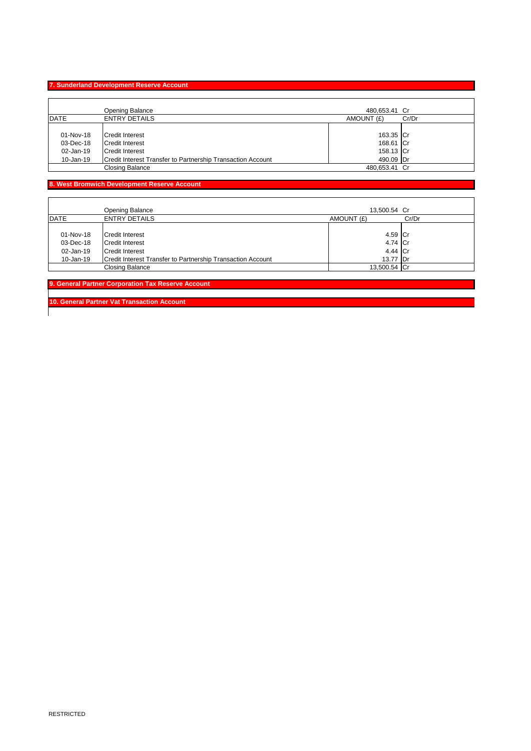# **7. Sunderland Development Reserve Account**

 $\mathbf{r}$ 

|             | Opening Balance                                             | 480,653.41 Cr |       |
|-------------|-------------------------------------------------------------|---------------|-------|
| <b>DATE</b> | <b>ENTRY DETAILS</b>                                        | AMOUNT (£)    | Cr/Dr |
|             |                                                             |               |       |
| 01-Nov-18   | Credit Interest                                             | 163.35 Cr     |       |
| 03-Dec-18   | Credit Interest                                             | 168.61 Cr     |       |
| 02-Jan-19   | Credit Interest                                             | 158.13 Cr     |       |
| 10-Jan-19   | Credit Interest Transfer to Partnership Transaction Account | 490.09 Dr     |       |
|             | <b>Closing Balance</b>                                      | 480,653.41 Cr |       |

# **8. West Bromwich Development Reserve Account**

|             | Opening Balance                                             | 13,500.54 Cr |       |
|-------------|-------------------------------------------------------------|--------------|-------|
| <b>DATE</b> | <b>ENTRY DETAILS</b>                                        | AMOUNT (£)   | Cr/Dr |
|             |                                                             |              |       |
| 01-Nov-18   | Credit Interest                                             | 4.59 Cr      |       |
| 03-Dec-18   | Credit Interest                                             | 4.74 Cr      |       |
| 02-Jan-19   | <b>Credit Interest</b>                                      | 4.44 Cr      |       |
| 10-Jan-19   | Credit Interest Transfer to Partnership Transaction Account | 13.77 Dr     |       |
|             | Closing Balance                                             | 13,500.54 Cr |       |

**9. General Partner Corporation Tax Reserve Account** 

**10. General Partner Vat Transaction Account**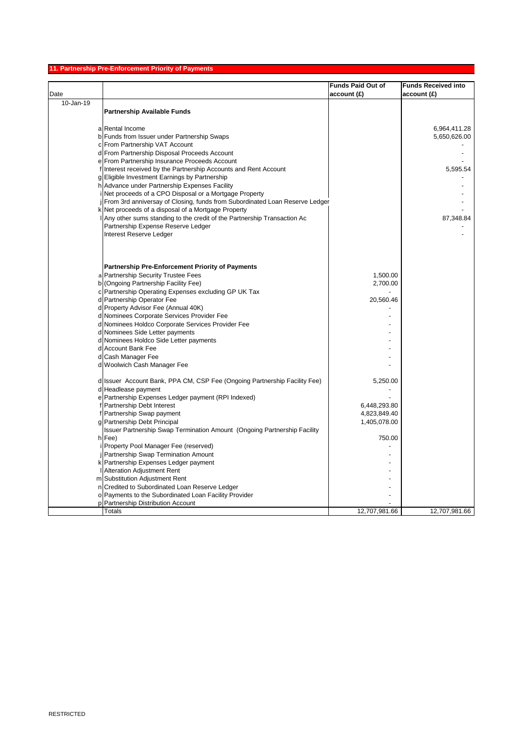## **11. Partnership Pre-Enforcement Priority of Payments**

| <b>Funds Paid Out of</b><br><b>Funds Received into</b><br>Date<br>account (£)<br>account(E) |               |
|---------------------------------------------------------------------------------------------|---------------|
|                                                                                             |               |
| 10-Jan-19                                                                                   |               |
| <b>Partnership Available Funds</b>                                                          |               |
|                                                                                             |               |
| a Rental Income                                                                             | 6,964,411.28  |
| b Funds from Issuer under Partnership Swaps                                                 | 5,650,626.00  |
| c From Partnership VAT Account                                                              |               |
| d From Partnership Disposal Proceeds Account                                                |               |
| e From Partnership Insurance Proceeds Account                                               |               |
| f Interest received by the Partnership Accounts and Rent Account                            | 5,595.54      |
| g Eligible Investment Earnings by Partnership                                               |               |
| h Advance under Partnership Expenses Facility                                               |               |
| i Net proceeds of a CPO Disposal or a Mortgage Property                                     |               |
| From 3rd anniversay of Closing, funds from Subordinated Loan Reserve Ledger                 |               |
| k Net proceeds of a disposal of a Mortgage Property                                         |               |
| Any other sums standing to the credit of the Partnership Transaction Ac                     | 87,348.84     |
| Partnership Expense Reserve Ledger                                                          |               |
| Interest Reserve Ledger                                                                     |               |
|                                                                                             |               |
|                                                                                             |               |
|                                                                                             |               |
| <b>Partnership Pre-Enforcement Priority of Payments</b>                                     |               |
| a Partnership Security Trustee Fees<br>1,500.00                                             |               |
| b (Ongoing Partnership Facility Fee)<br>2,700.00                                            |               |
| c Partnership Operating Expenses excluding GP UK Tax                                        |               |
| d Partnership Operator Fee<br>20,560.46                                                     |               |
| d Property Advisor Fee (Annual 40K)                                                         |               |
| d Nominees Corporate Services Provider Fee                                                  |               |
| d Nominees Holdco Corporate Services Provider Fee                                           |               |
| d Nominees Side Letter payments                                                             |               |
| d Nominees Holdco Side Letter payments                                                      |               |
| d Account Bank Fee                                                                          |               |
| d Cash Manager Fee                                                                          |               |
| d Woolwich Cash Manager Fee                                                                 |               |
|                                                                                             |               |
| d Issuer Account Bank, PPA CM, CSP Fee (Ongoing Partnership Facility Fee)<br>5,250.00       |               |
| d Headlease payment                                                                         |               |
| e Partnership Expenses Ledger payment (RPI Indexed)                                         |               |
| Partnership Debt Interest<br>6,448,293.80                                                   |               |
| f Partnership Swap payment<br>4,823,849.40                                                  |               |
| 1,405,078.00<br>g Partnership Debt Principal                                                |               |
| Issuer Partnership Swap Termination Amount (Ongoing Partnership Facility                    |               |
| h Fee)<br>750.00                                                                            |               |
| i Property Pool Manager Fee (reserved)                                                      |               |
| <b>Partnership Swap Termination Amount</b>                                                  |               |
| k Partnership Expenses Ledger payment                                                       |               |
| <b>Alteration Adjustment Rent</b>                                                           |               |
| m Substitution Adjustment Rent                                                              |               |
| n Credited to Subordinated Loan Reserve Ledger                                              |               |
| o Payments to the Subordinated Loan Facility Provider                                       |               |
| p Partnership Distribution Account                                                          |               |
| Totals<br>12,707,981.66                                                                     | 12,707,981.66 |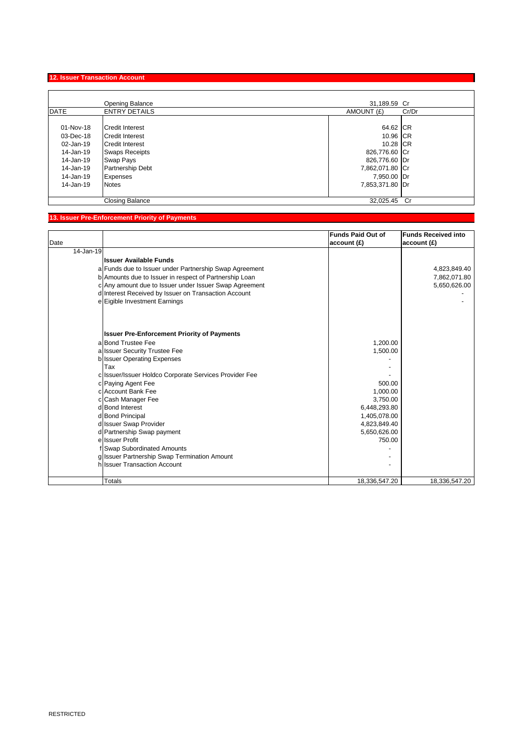# **12. Issuer Transaction Account**

|                                                                                                      | <b>Opening Balance</b>                                                                                                                                                         | 31,189.59 Cr                                                                                                            |       |
|------------------------------------------------------------------------------------------------------|--------------------------------------------------------------------------------------------------------------------------------------------------------------------------------|-------------------------------------------------------------------------------------------------------------------------|-------|
| <b>DATE</b>                                                                                          | <b>ENTRY DETAILS</b>                                                                                                                                                           | AMOUNT (£)                                                                                                              | Cr/Dr |
| 01-Nov-18<br>03-Dec-18<br>02-Jan-19<br>14-Jan-19<br>14-Jan-19<br>14-Jan-19<br>14-Jan-19<br>14-Jan-19 | <b>Credit Interest</b><br><b>Credit Interest</b><br><b>Credit Interest</b><br><b>Swaps Receipts</b><br>Swap Pays<br><b>Partnership Debt</b><br><b>Expenses</b><br><b>Notes</b> | 64.62 CR<br>10.96 CR<br>10.28 CR<br>826,776.60 Cr<br>826,776.60 Dr<br>7,862,071.80 Cr<br>7,950.00 Dr<br>7,853,371.80 Dr |       |
|                                                                                                      | <b>Closing Balance</b>                                                                                                                                                         | 32.025.45                                                                                                               | .Cr   |

# **13. Issuer Pre-Enforcement Priority of Payments**

|           |                                                        | <b>Funds Paid Out of</b> | <b>Funds Received into</b> |
|-----------|--------------------------------------------------------|--------------------------|----------------------------|
| Date      |                                                        | account(E)               | account(E)                 |
| 14-Jan-19 |                                                        |                          |                            |
|           | <b>Issuer Available Funds</b>                          |                          |                            |
|           | a Funds due to Issuer under Partnership Swap Agreement |                          | 4,823,849.40               |
|           | b Amounts due to Issuer in respect of Partnership Loan |                          | 7,862,071.80               |
|           | c Any amount due to Issuer under Issuer Swap Agreement |                          | 5,650,626.00               |
|           | d Interest Received by Issuer on Transaction Account   |                          |                            |
|           | e Eigible Investment Earnings                          |                          |                            |
|           |                                                        |                          |                            |
|           | <b>Issuer Pre-Enforcement Priority of Payments</b>     |                          |                            |
|           | a Bond Trustee Fee                                     | 1,200.00                 |                            |
|           | a Issuer Security Trustee Fee                          | 1,500.00                 |                            |
|           | b Issuer Operating Expenses                            |                          |                            |
|           | Tax                                                    |                          |                            |
|           | c Issuer/Issuer Holdco Corporate Services Provider Fee |                          |                            |
|           | c Paying Agent Fee                                     | 500.00                   |                            |
|           | c Account Bank Fee                                     | 1.000.00                 |                            |
|           | c Cash Manager Fee                                     | 3,750.00                 |                            |
|           | d Bond Interest                                        | 6,448,293.80             |                            |
|           | d Bond Principal                                       | 1,405,078.00             |                            |
|           | d Issuer Swap Provider                                 | 4,823,849.40             |                            |
|           | d Partnership Swap payment                             | 5,650,626.00             |                            |
|           | e Issuer Profit                                        | 750.00                   |                            |
|           | f Swap Subordinated Amounts                            |                          |                            |
|           | g Issuer Partnership Swap Termination Amount           |                          |                            |
|           | hussuer Transaction Account                            |                          |                            |
|           |                                                        |                          |                            |
|           | <b>Totals</b>                                          | 18,336,547.20            | 18,336,547.20              |